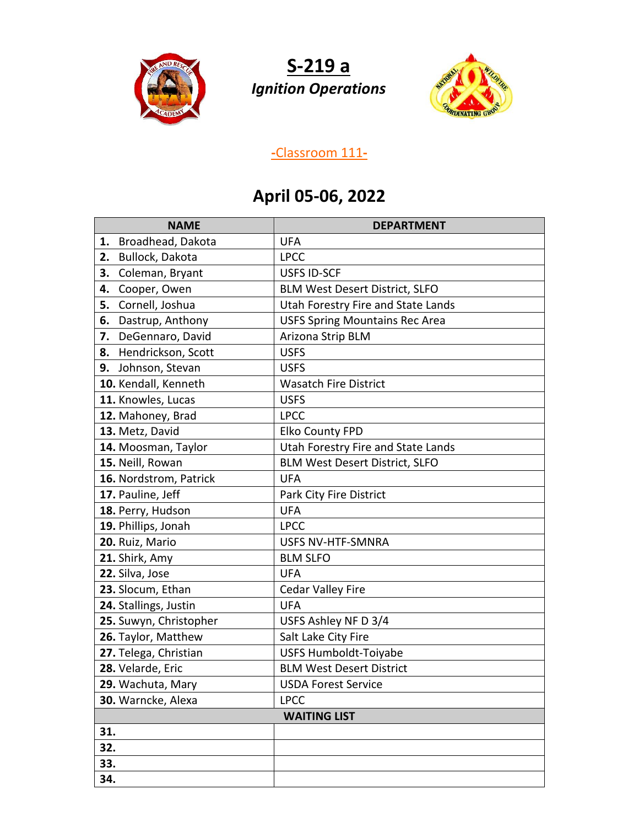

**S-219 a** *Ignition Operations*



## **-**Classroom 111**-**

## **April 05-06, 2022**

| <b>NAME</b>              | <b>DEPARTMENT</b>                     |
|--------------------------|---------------------------------------|
| Broadhead, Dakota<br>1.  | <b>UFA</b>                            |
| Bullock, Dakota<br>2.    | <b>LPCC</b>                           |
| Coleman, Bryant<br>3.    | <b>USFS ID-SCF</b>                    |
| Cooper, Owen<br>4.       | <b>BLM West Desert District, SLFO</b> |
| Cornell, Joshua<br>5.    | Utah Forestry Fire and State Lands    |
| Dastrup, Anthony<br>6.   | <b>USFS Spring Mountains Rec Area</b> |
| DeGennaro, David<br>7.   | Arizona Strip BLM                     |
| Hendrickson, Scott<br>8. | <b>USFS</b>                           |
| 9.<br>Johnson, Stevan    | <b>USFS</b>                           |
| 10. Kendall, Kenneth     | <b>Wasatch Fire District</b>          |
| 11. Knowles, Lucas       | <b>USFS</b>                           |
| 12. Mahoney, Brad        | <b>LPCC</b>                           |
| 13. Metz, David          | <b>Elko County FPD</b>                |
| 14. Moosman, Taylor      | Utah Forestry Fire and State Lands    |
| 15. Neill, Rowan         | <b>BLM West Desert District, SLFO</b> |
| 16. Nordstrom, Patrick   | <b>UFA</b>                            |
| 17. Pauline, Jeff        | Park City Fire District               |
| 18. Perry, Hudson        | <b>UFA</b>                            |
| 19. Phillips, Jonah      | <b>LPCC</b>                           |
| 20. Ruiz, Mario          | USFS NV-HTF-SMNRA                     |
| 21. Shirk, Amy           | <b>BLM SLFO</b>                       |
| 22. Silva, Jose          | <b>UFA</b>                            |
| 23. Slocum, Ethan        | <b>Cedar Valley Fire</b>              |
| 24. Stallings, Justin    | <b>UFA</b>                            |
| 25. Suwyn, Christopher   | USFS Ashley NF D 3/4                  |
| 26. Taylor, Matthew      | Salt Lake City Fire                   |
| 27. Telega, Christian    | <b>USFS Humboldt-Toiyabe</b>          |
| 28. Velarde, Eric        | <b>BLM West Desert District</b>       |
| 29. Wachuta, Mary        | <b>USDA Forest Service</b>            |
| 30. Warncke, Alexa       | <b>LPCC</b>                           |
| <b>WAITING LIST</b>      |                                       |
| 31.                      |                                       |
| 32.                      |                                       |
| 33.                      |                                       |
| 34.                      |                                       |